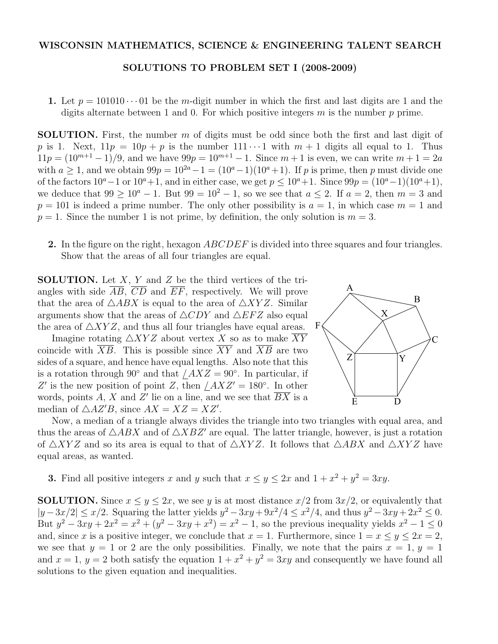## SOLUTIONS TO PROBLEM SET I (2008-2009)

1. Let  $p = 101010 \cdots 01$  be the *m*-digit number in which the first and last digits are 1 and the digits alternate between 1 and 0. For which positive integers *m* is the number *p* prime.

SOLUTION. First, the number *m* of digits must be odd since both the first and last digit of p is 1. Next,  $11p = 10p + p$  is the number  $111 \cdots 1$  with  $m + 1$  digits all equal to 1. Thus  $11p = (10^{m+1} - 1)/9$ , and we have  $99p = 10^{m+1} - 1$ . Since  $m + 1$  is even, we can write  $m + 1 = 2a$ with  $a \geq 1$ , and we obtain  $99p = 10^{2a} - 1 = (10^a - 1)(10^a + 1)$ . If *p* is prime, then *p* must divide one of the factors  $10^a - 1$  or  $10^a + 1$ , and in either case, we get  $p ≤ 10^a + 1$ . Since  $99p = (10^a - 1)(10^a + 1)$ , we deduce that  $99 > 10^a - 1$ . But  $99 = 10^2 - 1$ , so we see that  $a \le 2$ . If  $a = 2$ , then  $m = 3$  and  $p = 101$  is indeed a prime number. The only other possibility is  $a = 1$ , in which case  $m = 1$  and  $p = 1$ . Since the number 1 is not prime, by definition, the only solution is  $m = 3$ .

2. In the figure on the right, hexagon *ABCDEF* is divided into three squares and four triangles. Show that the areas of all four triangles are equal.

SOLUTION. Let *X*, *Y* and *Z* be the third vertices of the triangles with side  $\overline{AB}$ ,  $\overline{CD}$  and  $\overline{EF}$ , respectively. We will prove that the area of  $\triangle ABX$  is equal to the area of  $\triangle XYZ$ . Similar arguments show that the areas of  $\triangle CDY$  and  $\triangle EFZ$  also equal the area of  $\triangle XYZ$ , and thus all four triangles have equal areas.

Imagine rotating  $\triangle XYZ$  about vertex *X* so as to make *XY* coincide with  $\overline{XB}$ . This is possible since  $\overline{XY}$  and  $\overline{XB}$  are two sides of a square, and hence have equal lengths. Also note that this is a rotation through  $90°$  and that  $/AXZ = 90°$ . In particular, if  $Z'$  is the new position of point *Z*, then  $/AXZ' = 180°$ . In other words, points *A*, *X* and *Z*" lie on a line, and we see that *BX* is a median of  $\triangle AZ'B$ , since  $AX = XZ = XZ'$ .



Now, a median of a triangle always divides the triangle into two triangles with equal area, and thus the areas of  $\triangle ABX$  and of  $\triangle XBZ'$  are equal. The latter triangle, however, is just a rotation of  $\triangle XYZ$  and so its area is equal to that of  $\triangle XYZ$ . It follows that  $\triangle ABX$  and  $\triangle XYZ$  have equal areas, as wanted.

**3.** Find all positive integers *x* and *y* such that  $x \leq y \leq 2x$  and  $1 + x^2 + y^2 = 3xy$ .

**SOLUTION.** Since  $x \leq y \leq 2x$ , we see *y* is at most distance  $x/2$  from  $3x/2$ , or equivalently that  $|y - 3x/2|$  ≤ *x*/2. Squaring the latter yields  $y^2 - 3xy + 9x^2/4 \le x^2/4$ , and thus  $y^2 - 3xy + 2x^2 \le 0$ . But  $y^2 - 3xy + 2x^2 = x^2 + (y^2 - 3xy + x^2) = x^2 - 1$ , so the previous inequality yields  $x^2 - 1 \le 0$ and, since *x* is a positive integer, we conclude that  $x = 1$ . Furthermore, since  $1 = x \le y \le 2x = 2$ , we see that  $y = 1$  or 2 are the only possibilities. Finally, we note that the pairs  $x = 1$ ,  $y = 1$ and  $x = 1$ ,  $y = 2$  both satisfy the equation  $1 + x^2 + y^2 = 3xy$  and consequently we have found all solutions to the given equation and inequalities.